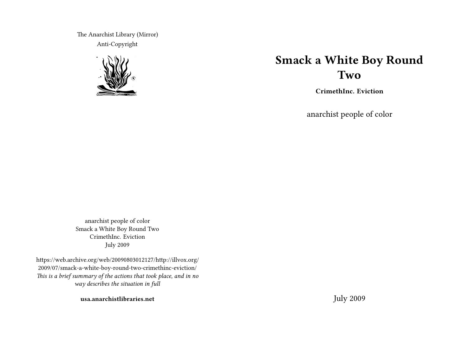The Anarchist Library (Mirror) Anti-Copyright



# **Smack a White Boy Round Two**

**CrimethInc. Eviction**

anarchist people of color

anarchist people of color Smack a White Boy Round Two CrimethInc. Eviction July 2009

https://web.archive.org/web/20090803012127/http://illvox.org/ 2009/07/smack-a-white-boy-round-two-crimethinc-eviction/ *This is a brief summary of the actions that took place, and in no way describes the situation in full*

**usa.anarchistlibraries.net**

July 2009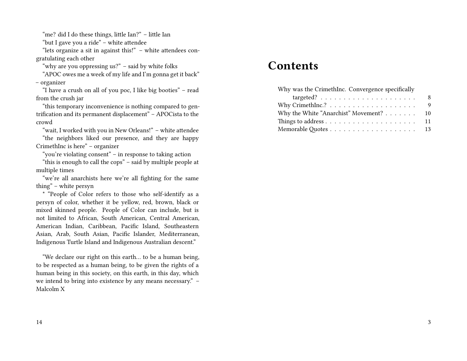"me? did I do these things, little Ian?" – little Ian

"but I gave you a ride" – white attendee

"lets organize a sit in against this!" – white attendees congratulating each other

"why are you oppressing us?" – said by white folks

"APOC owes me a week of my life and I'm gonna get it back" – organizer

"I have a crush on all of you poc, I like big booties" – read from the crush jar

"this temporary inconvenience is nothing compared to gentrification and its permanent displacement" – APOCista to the crowd

"wait, I worked with you in New Orleans!" – white attendee

"the neighbors liked our presence, and they are happy CrimethInc is here" – organizer

"you're violating consent" – in response to taking action

"this is enough to call the cops" – said by multiple people at multiple times

"we're all anarchists here we're all fighting for the same thing" – white persyn

\* "People of Color refers to those who self-identify as a persyn of color, whether it be yellow, red, brown, black or mixed skinned people. People of Color can include, but is not limited to African, South American, Central American, American Indian, Caribbean, Pacific Island, Southeastern Asian, Arab, South Asian, Pacific Islander, Mediterranean, Indigenous Turtle Island and Indigenous Australian descent."

"We declare our right on this earth… to be a human being, to be respected as a human being, to be given the rights of a human being in this society, on this earth, in this day, which we intend to bring into existence by any means necessary." – Malcolm X

## **Contents**

| 8  |
|----|
| 9  |
| 10 |
| 11 |
|    |
|    |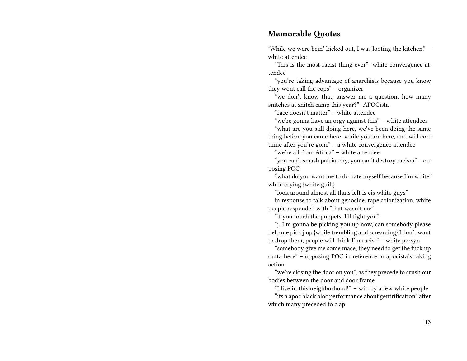#### **Memorable Quotes**

"While we were bein' kicked out, I was looting the kitchen." – white attendee

"This is the most racist thing ever"- white convergence attendee

"you're taking advantage of anarchists because you know they wont call the cops" – organizer

"we don't know that, answer me a question, how many snitches at snitch camp this year?"- APOCista

"race doesn't matter" – white attendee

"we're gonna have an orgy against this" – white attendees

"what are you still doing here, we've been doing the same thing before you came here, while you are here, and will continue after you're gone" – a white convergence attendee

"we're all from Africa" – white attendee

"you can't smash patriarchy, you can't destroy racism" – opposing POC

"what do you want me to do hate myself because I'm white" while crying {white guilt}

"look around almost all thats left is cis white guys"

in response to talk about genocide, rape,colonization, white people responded with "that wasn't me"

"if you touch the puppets, I'll fight you"

"j, I'm gonna be picking you up now, can somebody please help me pick j up {while trembling and screaming} I don't want to drop them, people will think I'm racist" – white persyn

"somebody give me some mace, they need to get the fuck up outta here" – opposing POC in reference to apocista's taking action

"we're closing the door on you", as they precede to crush our bodies between the door and door frame

"I live in this neighborhood!" – said by a few white people

"its a apoc black bloc performance about gentrification" after which many preceded to clap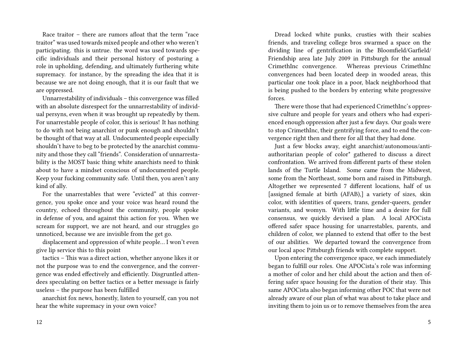Race traitor – there are rumors afloat that the term "race traitor" was used towards mixed people and other who weren't participating. this is untrue. the word was used towards specific individuals and their personal history of posturing a role in upholding, defending, and ultimately furthering white supremacy. for instance, by the spreading the idea that it is because we are not doing enough, that it is our fault that we are oppressed.

Unnarrestability of individuals – this convergence was filled with an absolute disrespect for the unnarrestability of individual persyns, even when it was brought up repeatedly by them. For unarrestable people of color, this is serious! It has nothing to do with not being anarchist or punk enough and shouldn't be thought of that way at all. Undocumented people especially shouldn't have to beg to be protected by the anarchist community and those they call "friends". Consideration of unnarrestability is the MOST basic thing white anarchists need to think about to have a mindset conscious of undocumented people. Keep your fucking community safe. Until then, you aren't any kind of ally.

For the unarrestables that were "evicted" at this convergence, you spoke once and your voice was heard round the country, echoed throughout the community, people spoke in defense of you, and against this action for you. When we scream for support, we are not heard, and our struggles go unnoticed, because we are invisible from the get go.

displacement and oppression of white people… I won't even give lip service this to this point

tactics – This was a direct action, whether anyone likes it or not the purpose was to end the convergence, and the convergence was ended effectively and efficiently. Disgruntled attendees speculating on better tactics or a better message is fairly useless – the purpose has been fulfilled

anarchist fox news, honestly, listen to yourself, can you not hear the white supremacy in your own voice?

Dread locked white punks, crusties with their scabies friends, and traveling college bros swarmed a space on the dividing line of gentrification in the Bloomfield/Garfield/ Friendship area late July 2009 in Pittsburgh for the annual CrimethInc convergence. Whereas previous CrimethInc convergences had been located deep in wooded areas, this particular one took place in a poor, black neighborhood that is being pushed to the borders by entering white progressive forces.

There were those that had experienced CrimethInc's oppressive culture and people for years and others who had experienced enough oppression after just a few days. Our goals were to stop CrimethInc, their gentrifying force, and to end the convergence right then and there for all that they had done.

Just a few blocks away, eight anarchist/autonomous/antiauthoritarian people of color\* gathered to discuss a direct confrontation. We arrived from different parts of these stolen lands of the Turtle Island. Some came from the Midwest, some from the Northeast, some born and raised in Pittsburgh. Altogether we represented 7 different locations, half of us [assigned female at birth (AFAB),] a variety of sizes, skin color, with identities of queers, trans, gender-queers, gender variants, and womyn. With little time and a desire for full consensus, we quickly devised a plan. A local APOCista offered safer space housing for unarrestables, parents, and children of color, we planned to extend that offer to the best of our abilities. We departed toward the convergence from our local apoc Pittsburgh friends with complete support.

Upon entering the convergence space, we each immediately began to fulfill our roles. One APOCista's role was informing a mother of color and her child about the action and then offering safer space housing for the duration of their stay. This same APOCista also began informing other POC that were not already aware of our plan of what was about to take place and inviting them to join us or to remove themselves from the area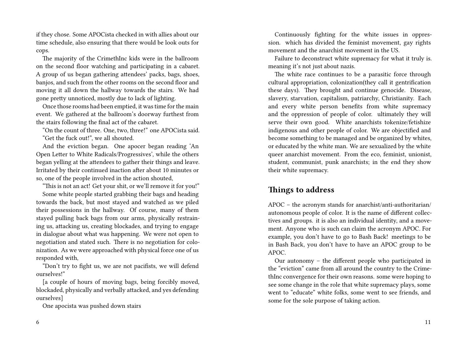if they chose. Some APOCista checked in with allies about our time schedule, also ensuring that there would be look outs for cops.

The majority of the CrimethInc kids were in the ballroom on the second floor watching and participating in a cabaret. A group of us began gathering attendees' packs, bags, shoes, banjos, and such from the other rooms on the second floor and moving it all down the hallway towards the stairs. We had gone pretty unnoticed, mostly due to lack of lighting.

Once those rooms had been emptied, it was time for the main event. We gathered at the ballroom's doorway furthest from the stairs following the final act of the cabaret.

"On the count of three. One, two, three!" one APOCista said. "Get the fuck out!", we all shouted.

And the eviction began. One apocer began reading 'An Open Letter to White Radicals/Progressives', while the others began yelling at the attendees to gather their things and leave. Irritated by their continued inaction after about 10 minutes or so, one of the people involved in the action shouted,

"This is not an act! Get your shit, or we'll remove it for you!"

Some white people started grabbing their bags and heading towards the back, but most stayed and watched as we piled their possessions in the hallway. Of course, many of them stayed pulling back bags from our arms, physically restraining us, attacking us, creating blockades, and trying to engage in dialogue about what was happening. We were not open to negotiation and stated such. There is no negotiation for colonization. As we were approached with physical force one of us responded with,

"Don't try to fight us, we are not pacifists, we will defend ourselves!"

[a couple of hours of moving bags, being forcibly moved, blockaded, physically and verbally attacked, and yes defending ourselves]

One apocista was pushed down stairs

Continuously fighting for the white issues in oppression. which has divided the feminist movement, gay rights movement and the anarchist movement in the US.

Failure to deconstruct white supremacy for what it truly is. meaning it's not just about nazis.

The white race continues to be a parasitic force through cultural appropriation, colonization(they call it gentrification these days). They brought and continue genocide. Disease, slavery, starvation, capitalism, patriarchy, Christianity. Each and every white person benefits from white supremacy and the oppression of people of color. ultimately they will serve their own good. White anarchists tokenize/fetishize indigenous and other people of color. We are objectified and become something to be managed and be organized by whites, or educated by the white man. We are sexualized by the white queer anarchist movement. From the eco, feminist, unionist, student, communist, punk anarchists; in the end they show their white supremacy.

#### **Things to address**

APOC – the acronym stands for anarchist/anti-authoritarian/ autonomous people of color. It is the name of different collectives and groups. it is also an individual identity, and a movement. Anyone who is such can claim the acronym APOC. For example, you don't have to go to Bash Back! meetings to be in Bash Back, you don't have to have an APOC group to be APOC.

Our autonomy – the different people who participated in the "eviction" came from all around the country to the CrimethInc convergence for their own reasons. some were hoping to see some change in the role that white supremacy plays, some went to "educate" white folks, some went to see friends, and some for the sole purpose of taking action.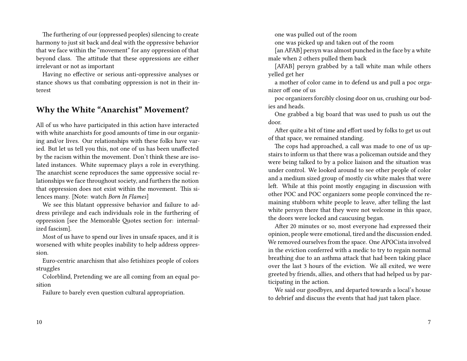The furthering of our (oppressed peoples) silencing to create harmony to just sit back and deal with the oppressive behavior that we face within the "movement" for any oppression of that beyond class. The attitude that these oppressions are either irrelevant or not as important

Having no effective or serious anti-oppressive analyses or stance shows us that combating oppression is not in their interest

## **Why the White "Anarchist" Movement?**

All of us who have participated in this action have interacted with white anarchists for good amounts of time in our organizing and/or lives. Our relationships with these folks have varied. But let us tell you this, not one of us has been unaffected by the racism within the movement. Don't think these are isolated instances. White supremacy plays a role in everything. The anarchist scene reproduces the same oppressive social relationships we face throughout society, and furthers the notion that oppression does not exist within the movement. This silences many. [Note: watch *Born In Flames*]

We see this blatant oppressive behavior and failure to address privilege and each individuals role in the furthering of oppression [see the Memorable Quotes section for: internalized fascism].

Most of us have to spend our lives in unsafe spaces, and it is worsened with white peoples inability to help address oppression.

Euro-centric anarchism that also fetishizes people of colors struggles

Colorblind, Pretending we are all coming from an equal position

Failure to barely even question cultural appropriation.

10

one was pulled out of the room

one was picked up and taken out of the room

[an AFAB] persyn was almost punched in the face by a white male when 2 others pulled them back

[AFAB] persyn grabbed by a tall white man while others yelled get her

a mother of color came in to defend us and pull a poc organizer off one of us

poc organizers forcibly closing door on us, crushing our bodies and heads.

One grabbed a big board that was used to push us out the door.

After quite a bit of time and effort used by folks to get us out of that space, we remained standing.

The cops had approached, a call was made to one of us upstairs to inform us that there was a policeman outside and they were being talked to by a police liaison and the situation was under control. We looked around to see other people of color and a medium sized group of mostly cis white males that were left. While at this point mostly engaging in discussion with other POC and POC organizers some people convinced the remaining stubborn white people to leave, after telling the last white persyn there that they were not welcome in this space, the doors were locked and caucusing began.

After 20 minutes or so, most everyone had expressed their opinion, people were emotional, tired and the discussion ended. We removed ourselves from the space. One APOCista involved in the eviction conferred with a medic to try to regain normal breathing due to an asthma attack that had been taking place over the last 3 hours of the eviction. We all exited, we were greeted by friends, allies, and others that had helped us by participating in the action.

We said our goodbyes, and departed towards a local's house to debrief and discuss the events that had just taken place.